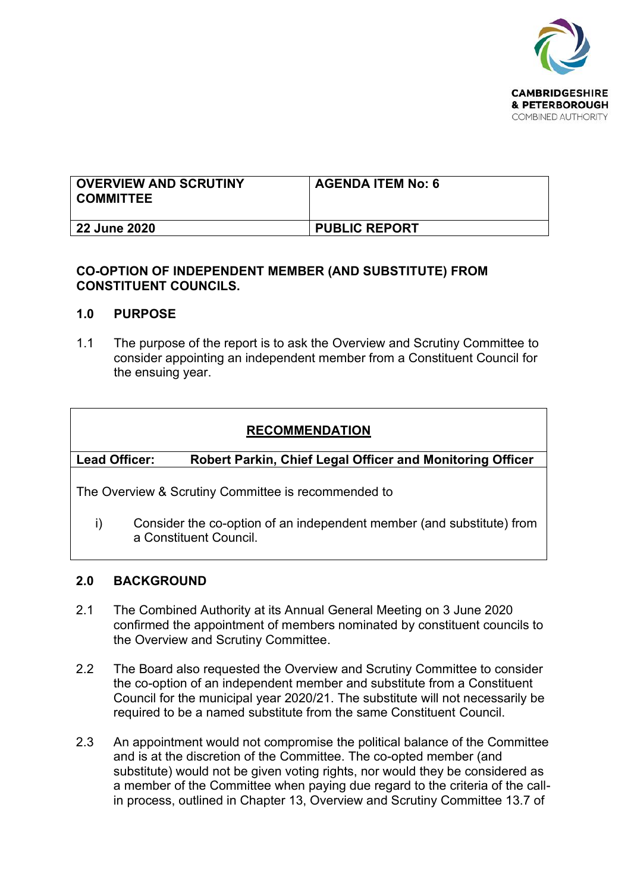

| <b>OVERVIEW AND SCRUTINY</b><br><b>COMMITTEE</b> | <b>AGENDA ITEM No: 6</b> |
|--------------------------------------------------|--------------------------|
| 22 June 2020                                     | <b>PUBLIC REPORT</b>     |

### **CO-OPTION OF INDEPENDENT MEMBER (AND SUBSTITUTE) FROM CONSTITUENT COUNCILS.**

### **1.0 PURPOSE**

1.1 The purpose of the report is to ask the Overview and Scrutiny Committee to consider appointing an independent member from a Constituent Council for the ensuing year.

# **RECOMMENDATION**

# **Lead Officer: Robert Parkin, Chief Legal Officer and Monitoring Officer**

The Overview & Scrutiny Committee is recommended to

i) Consider the co-option of an independent member (and substitute) from a Constituent Council.

### **2.0 BACKGROUND**

- 2.1 The Combined Authority at its Annual General Meeting on 3 June 2020 confirmed the appointment of members nominated by constituent councils to the Overview and Scrutiny Committee.
- 2.2 The Board also requested the Overview and Scrutiny Committee to consider the co-option of an independent member and substitute from a Constituent Council for the municipal year 2020/21. The substitute will not necessarily be required to be a named substitute from the same Constituent Council.
- 2.3 An appointment would not compromise the political balance of the Committee and is at the discretion of the Committee. The co-opted member (and substitute) would not be given voting rights, nor would they be considered as a member of the Committee when paying due regard to the criteria of the callin process, outlined in Chapter 13, Overview and Scrutiny Committee 13.7 of